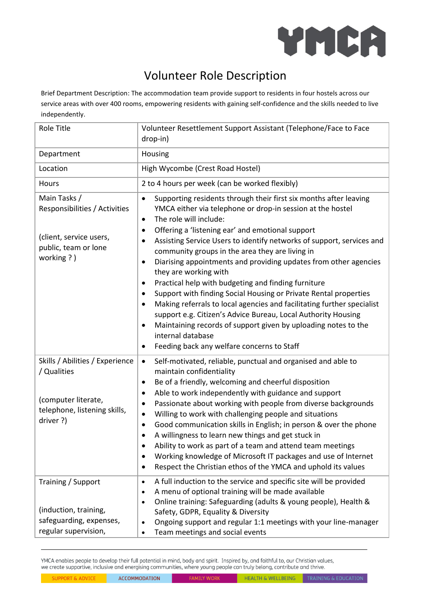

## Volunteer Role Description

Brief Department Description: The accommodation team provide support to residents in four hostels across our service areas with over 400 rooms, empowering residents with gaining self-confidence and the skills needed to live independently.

| <b>Role Title</b>                                                                                                  | Volunteer Resettlement Support Assistant (Telephone/Face to Face<br>drop-in)                                                                                                                                                                                                                                                                                                                                                                                                                                                                                                                                                                                                                                                                                                                                                                                                                                                              |  |  |
|--------------------------------------------------------------------------------------------------------------------|-------------------------------------------------------------------------------------------------------------------------------------------------------------------------------------------------------------------------------------------------------------------------------------------------------------------------------------------------------------------------------------------------------------------------------------------------------------------------------------------------------------------------------------------------------------------------------------------------------------------------------------------------------------------------------------------------------------------------------------------------------------------------------------------------------------------------------------------------------------------------------------------------------------------------------------------|--|--|
| Department                                                                                                         | Housing                                                                                                                                                                                                                                                                                                                                                                                                                                                                                                                                                                                                                                                                                                                                                                                                                                                                                                                                   |  |  |
| Location                                                                                                           | High Wycombe (Crest Road Hostel)                                                                                                                                                                                                                                                                                                                                                                                                                                                                                                                                                                                                                                                                                                                                                                                                                                                                                                          |  |  |
| Hours                                                                                                              | 2 to 4 hours per week (can be worked flexibly)                                                                                                                                                                                                                                                                                                                                                                                                                                                                                                                                                                                                                                                                                                                                                                                                                                                                                            |  |  |
| Main Tasks /<br>Responsibilities / Activities<br>(client, service users,<br>public, team or lone<br>working ?)     | Supporting residents through their first six months after leaving<br>$\bullet$<br>YMCA either via telephone or drop-in session at the hostel<br>The role will include:<br>$\bullet$<br>Offering a 'listening ear' and emotional support<br>٠<br>Assisting Service Users to identify networks of support, services and<br>$\bullet$<br>community groups in the area they are living in<br>Diarising appointments and providing updates from other agencies<br>$\bullet$<br>they are working with<br>Practical help with budgeting and finding furniture<br>Support with finding Social Housing or Private Rental properties<br>$\bullet$<br>Making referrals to local agencies and facilitating further specialist<br>$\bullet$<br>support e.g. Citizen's Advice Bureau, Local Authority Housing<br>Maintaining records of support given by uploading notes to the<br>internal database<br>Feeding back any welfare concerns to Staff<br>٠ |  |  |
| Skills / Abilities / Experience<br>/ Qualities<br>(computer literate,<br>telephone, listening skills,<br>driver ?) | Self-motivated, reliable, punctual and organised and able to<br>$\bullet$<br>maintain confidentiality<br>Be of a friendly, welcoming and cheerful disposition<br>$\bullet$<br>Able to work independently with guidance and support<br>$\bullet$<br>Passionate about working with people from diverse backgrounds<br>Willing to work with challenging people and situations<br>$\bullet$<br>Good communication skills in English; in person & over the phone<br>$\bullet$<br>A willingness to learn new things and get stuck in<br>٠<br>Ability to work as part of a team and attend team meetings<br>Working knowledge of Microsoft IT packages and use of Internet<br>$\bullet$<br>Respect the Christian ethos of the YMCA and uphold its values<br>$\bullet$                                                                                                                                                                            |  |  |
| Training / Support<br>(induction, training,<br>safeguarding, expenses,<br>regular supervision,                     | A full induction to the service and specific site will be provided<br>$\bullet$<br>A menu of optional training will be made available<br>$\bullet$<br>Online training: Safeguarding (adults & young people), Health &<br>$\bullet$<br>Safety, GDPR, Equality & Diversity<br>Ongoing support and regular 1:1 meetings with your line-manager<br>$\bullet$<br>Team meetings and social events                                                                                                                                                                                                                                                                                                                                                                                                                                                                                                                                               |  |  |

YMCA enables people to develop their full potential in mind, body and spirit. Inspired by, and faithful to, our Christian values, we create supportive, inclusive and energising communities, where young people can truly belong, contribute and thrive.